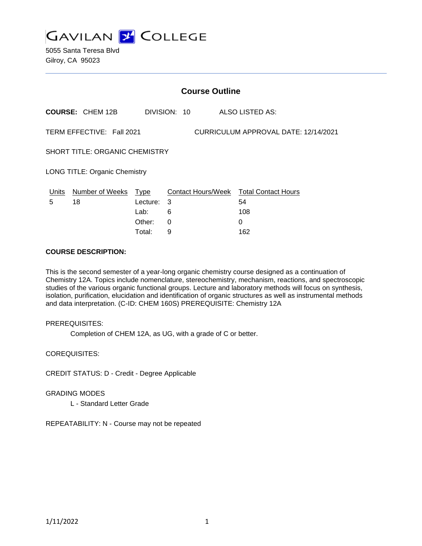

5055 Santa Teresa Blvd Gilroy, CA 95023

|                                                                   | <b>Course Outline</b>   |          |              |                                        |  |
|-------------------------------------------------------------------|-------------------------|----------|--------------|----------------------------------------|--|
|                                                                   | <b>COURSE: CHEM 12B</b> |          | DIVISION: 10 | ALSO LISTED AS:                        |  |
| TERM EFFECTIVE: Fall 2021<br>CURRICULUM APPROVAL DATE: 12/14/2021 |                         |          |              |                                        |  |
| <b>SHORT TITLE: ORGANIC CHEMISTRY</b>                             |                         |          |              |                                        |  |
| <b>LONG TITLE: Organic Chemistry</b>                              |                         |          |              |                                        |  |
| Units                                                             | Number of Weeks Type    |          |              | Contact Hours/Week Total Contact Hours |  |
| 5                                                                 | 18                      | Lecture: | 3            | 54                                     |  |
|                                                                   |                         | Lab:     | 6            | 108                                    |  |
|                                                                   |                         | Other:   | $\Omega$     | $\Omega$                               |  |
|                                                                   |                         | Total:   | 9            | 162                                    |  |

#### **COURSE DESCRIPTION:**

This is the second semester of a year-long organic chemistry course designed as a continuation of Chemistry 12A. Topics include nomenclature, stereochemistry, mechanism, reactions, and spectroscopic studies of the various organic functional groups. Lecture and laboratory methods will focus on synthesis, isolation, purification, elucidation and identification of organic structures as well as instrumental methods and data interpretation. (C-ID: CHEM 160S) PREREQUISITE: Chemistry 12A

#### PREREQUISITES:

Completion of CHEM 12A, as UG, with a grade of C or better.

COREQUISITES:

CREDIT STATUS: D - Credit - Degree Applicable

GRADING MODES

L - Standard Letter Grade

REPEATABILITY: N - Course may not be repeated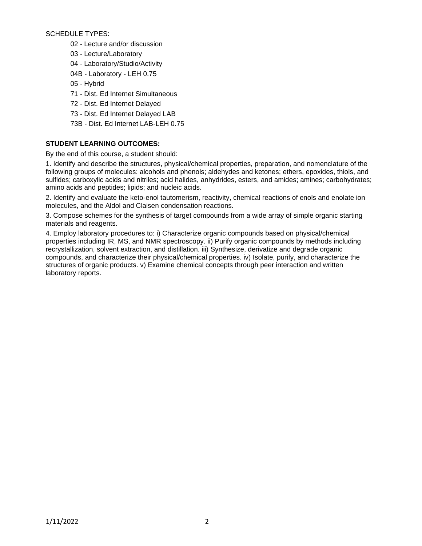SCHEDULE TYPES:

- 02 Lecture and/or discussion
- 03 Lecture/Laboratory
- 04 Laboratory/Studio/Activity
- 04B Laboratory LEH 0.75
- 05 Hybrid
- 71 Dist. Ed Internet Simultaneous
- 72 Dist. Ed Internet Delayed
- 73 Dist. Ed Internet Delayed LAB
- 73B Dist. Ed Internet LAB-LEH 0.75

# **STUDENT LEARNING OUTCOMES:**

By the end of this course, a student should:

1. Identify and describe the structures, physical/chemical properties, preparation, and nomenclature of the following groups of molecules: alcohols and phenols; aldehydes and ketones; ethers, epoxides, thiols, and sulfides; carboxylic acids and nitriles; acid halides, anhydrides, esters, and amides; amines; carbohydrates; amino acids and peptides; lipids; and nucleic acids.

2. Identify and evaluate the keto-enol tautomerism, reactivity, chemical reactions of enols and enolate ion molecules, and the Aldol and Claisen condensation reactions.

3. Compose schemes for the synthesis of target compounds from a wide array of simple organic starting materials and reagents.

4. Employ laboratory procedures to: i) Characterize organic compounds based on physical/chemical properties including IR, MS, and NMR spectroscopy. ii) Purify organic compounds by methods including recrystallization, solvent extraction, and distillation. iii) Synthesize, derivatize and degrade organic compounds, and characterize their physical/chemical properties. iv) Isolate, purify, and characterize the structures of organic products. v) Examine chemical concepts through peer interaction and written laboratory reports.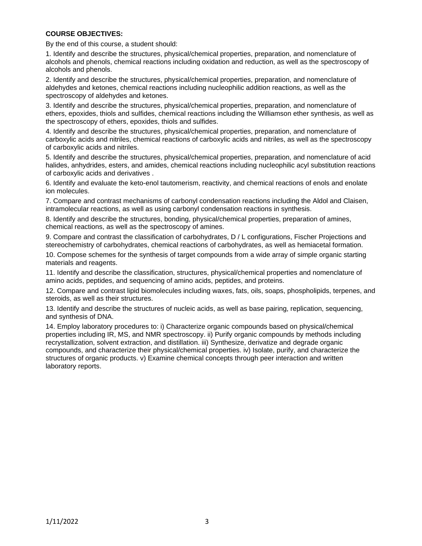## **COURSE OBJECTIVES:**

By the end of this course, a student should:

1. Identify and describe the structures, physical/chemical properties, preparation, and nomenclature of alcohols and phenols, chemical reactions including oxidation and reduction, as well as the spectroscopy of alcohols and phenols.

2. Identify and describe the structures, physical/chemical properties, preparation, and nomenclature of aldehydes and ketones, chemical reactions including nucleophilic addition reactions, as well as the spectroscopy of aldehydes and ketones.

3. Identify and describe the structures, physical/chemical properties, preparation, and nomenclature of ethers, epoxides, thiols and sulfides, chemical reactions including the Williamson ether synthesis, as well as the spectroscopy of ethers, epoxides, thiols and sulfides.

4. Identify and describe the structures, physical/chemical properties, preparation, and nomenclature of carboxylic acids and nitriles, chemical reactions of carboxylic acids and nitriles, as well as the spectroscopy of carboxylic acids and nitriles.

5. Identify and describe the structures, physical/chemical properties, preparation, and nomenclature of acid halides, anhydrides, esters, and amides, chemical reactions including nucleophilic acyl substitution reactions of carboxylic acids and derivatives .

6. Identify and evaluate the keto-enol tautomerism, reactivity, and chemical reactions of enols and enolate ion molecules.

7. Compare and contrast mechanisms of carbonyl condensation reactions including the Aldol and Claisen, intramolecular reactions, as well as using carbonyl condensation reactions in synthesis.

8. Identify and describe the structures, bonding, physical/chemical properties, preparation of amines, chemical reactions, as well as the spectroscopy of amines.

9. Compare and contrast the classification of carbohydrates, D / L configurations, Fischer Projections and stereochemistry of carbohydrates, chemical reactions of carbohydrates, as well as hemiacetal formation.

10. Compose schemes for the synthesis of target compounds from a wide array of simple organic starting materials and reagents.

11. Identify and describe the classification, structures, physical/chemical properties and nomenclature of amino acids, peptides, and sequencing of amino acids, peptides, and proteins.

12. Compare and contrast lipid biomolecules including waxes, fats, oils, soaps, phospholipids, terpenes, and steroids, as well as their structures.

13. Identify and describe the structures of nucleic acids, as well as base pairing, replication, sequencing, and synthesis of DNA.

14. Employ laboratory procedures to: i) Characterize organic compounds based on physical/chemical properties including IR, MS, and NMR spectroscopy. ii) Purify organic compounds by methods including recrystallization, solvent extraction, and distillation. iii) Synthesize, derivatize and degrade organic compounds, and characterize their physical/chemical properties. iv) Isolate, purify, and characterize the structures of organic products. v) Examine chemical concepts through peer interaction and written laboratory reports.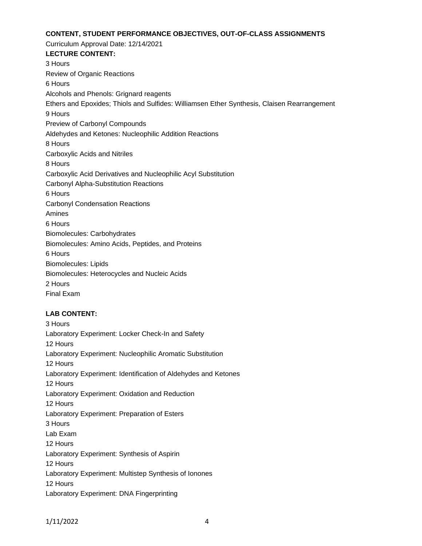#### **CONTENT, STUDENT PERFORMANCE OBJECTIVES, OUT-OF-CLASS ASSIGNMENTS**

Curriculum Approval Date: 12/14/2021 **LECTURE CONTENT:** 3 Hours Review of Organic Reactions 6 Hours Alcohols and Phenols: Grignard reagents Ethers and Epoxides; Thiols and Sulfides: Williamsen Ether Synthesis, Claisen Rearrangement 9 Hours Preview of Carbonyl Compounds Aldehydes and Ketones: Nucleophilic Addition Reactions 8 Hours Carboxylic Acids and Nitriles 8 Hours Carboxylic Acid Derivatives and Nucleophilic Acyl Substitution Carbonyl Alpha-Substitution Reactions 6 Hours Carbonyl Condensation Reactions Amines 6 Hours Biomolecules: Carbohydrates Biomolecules: Amino Acids, Peptides, and Proteins 6 Hours Biomolecules: Lipids Biomolecules: Heterocycles and Nucleic Acids 2 Hours Final Exam

## **LAB CONTENT:**

3 Hours Laboratory Experiment: Locker Check-In and Safety 12 Hours Laboratory Experiment: Nucleophilic Aromatic Substitution 12 Hours Laboratory Experiment: Identification of Aldehydes and Ketones 12 Hours Laboratory Experiment: Oxidation and Reduction 12 Hours Laboratory Experiment: Preparation of Esters 3 Hours Lab Exam 12 Hours Laboratory Experiment: Synthesis of Aspirin 12 Hours Laboratory Experiment: Multistep Synthesis of Ionones 12 Hours Laboratory Experiment: DNA Fingerprinting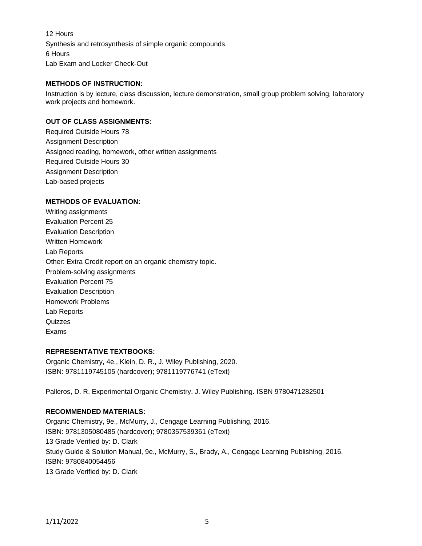12 Hours Synthesis and retrosynthesis of simple organic compounds. 6 Hours Lab Exam and Locker Check-Out

## **METHODS OF INSTRUCTION:**

Instruction is by lecture, class discussion, lecture demonstration, small group problem solving, laboratory work projects and homework.

# **OUT OF CLASS ASSIGNMENTS:**

Required Outside Hours 78 Assignment Description Assigned reading, homework, other written assignments Required Outside Hours 30 Assignment Description Lab-based projects

# **METHODS OF EVALUATION:**

Writing assignments Evaluation Percent 25 Evaluation Description Written Homework Lab Reports Other: Extra Credit report on an organic chemistry topic. Problem-solving assignments Evaluation Percent 75 Evaluation Description Homework Problems Lab Reports **Quizzes** Exams

## **REPRESENTATIVE TEXTBOOKS:**

Organic Chemistry, 4e., Klein, D. R., J. Wiley Publishing, 2020. ISBN: 9781119745105 (hardcover); 9781119776741 (eText)

Palleros, D. R. Experimental Organic Chemistry. J. Wiley Publishing. ISBN 9780471282501

## **RECOMMENDED MATERIALS:**

Organic Chemistry, 9e., McMurry, J., Cengage Learning Publishing, 2016. ISBN: 9781305080485 (hardcover); 9780357539361 (eText) 13 Grade Verified by: D. Clark Study Guide & Solution Manual, 9e., McMurry, S., Brady, A., Cengage Learning Publishing, 2016. ISBN: 9780840054456 13 Grade Verified by: D. Clark